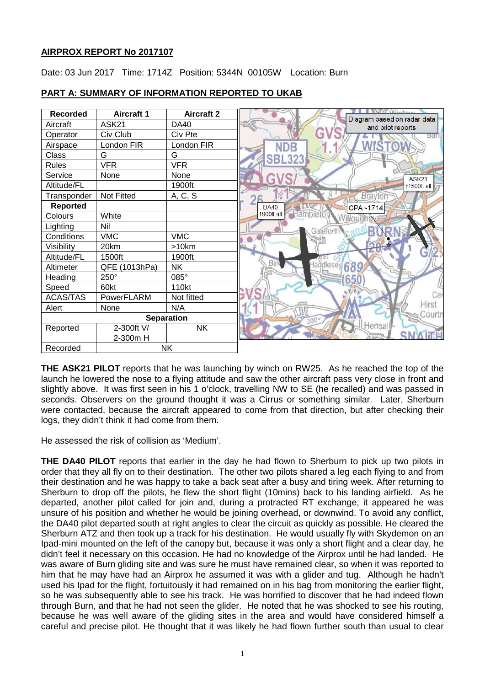# **AIRPROX REPORT No 2017107**

Date: 03 Jun 2017 Time: 1714Z Position: 5344N 00105W Location: Burn



# **PART A: SUMMARY OF INFORMATION REPORTED TO UKAB**

**THE ASK21 PILOT** reports that he was launching by winch on RW25. As he reached the top of the launch he lowered the nose to a flying attitude and saw the other aircraft pass very close in front and slightly above. It was first seen in his 1 o'clock, travelling NW to SE (he recalled) and was passed in seconds. Observers on the ground thought it was a Cirrus or something similar. Later, Sherburn were contacted, because the aircraft appeared to come from that direction, but after checking their logs, they didn't think it had come from them.

He assessed the risk of collision as 'Medium'.

**THE DA40 PILOT** reports that earlier in the day he had flown to Sherburn to pick up two pilots in order that they all fly on to their destination. The other two pilots shared a leg each flying to and from their destination and he was happy to take a back seat after a busy and tiring week. After returning to Sherburn to drop off the pilots, he flew the short flight (10mins) back to his landing airfield. As he departed, another pilot called for join and, during a protracted RT exchange, it appeared he was unsure of his position and whether he would be joining overhead, or downwind. To avoid any conflict, the DA40 pilot departed south at right angles to clear the circuit as quickly as possible. He cleared the Sherburn ATZ and then took up a track for his destination. He would usually fly with Skydemon on an Ipad-mini mounted on the left of the canopy but, because it was only a short flight and a clear day, he didn't feel it necessary on this occasion. He had no knowledge of the Airprox until he had landed. He was aware of Burn gliding site and was sure he must have remained clear, so when it was reported to him that he may have had an Airprox he assumed it was with a glider and tug. Although he hadn't used his Ipad for the flight, fortuitously it had remained on in his bag from monitoring the earlier flight, so he was subsequently able to see his track. He was horrified to discover that he had indeed flown through Burn, and that he had not seen the glider. He noted that he was shocked to see his routing, because he was well aware of the gliding sites in the area and would have considered himself a careful and precise pilot. He thought that it was likely he had flown further south than usual to clear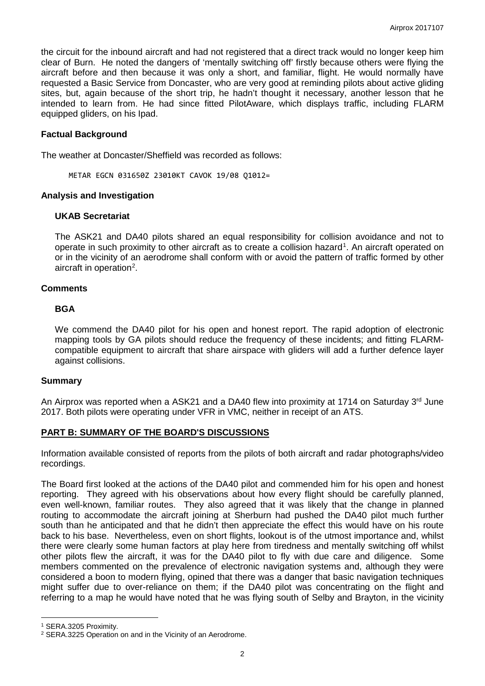the circuit for the inbound aircraft and had not registered that a direct track would no longer keep him clear of Burn. He noted the dangers of 'mentally switching off' firstly because others were flying the aircraft before and then because it was only a short, and familiar, flight. He would normally have requested a Basic Service from Doncaster, who are very good at reminding pilots about active gliding sites, but, again because of the short trip, he hadn't thought it necessary, another lesson that he intended to learn from. He had since fitted PilotAware, which displays traffic, including FLARM equipped gliders, on his Ipad.

## **Factual Background**

The weather at Doncaster/Sheffield was recorded as follows:

METAR EGCN 031650Z 23010KT CAVOK 19/08 Q1012=

## **Analysis and Investigation**

## **UKAB Secretariat**

The ASK21 and DA40 pilots shared an equal responsibility for collision avoidance and not to operate in such proximity to other aircraft as to create a collision hazard<sup>[1](#page-1-0)</sup>. An aircraft operated on or in the vicinity of an aerodrome shall conform with or avoid the pattern of traffic formed by other aircraft in operation<sup>[2](#page-1-1)</sup>.

## **Comments**

## **BGA**

We commend the DA40 pilot for his open and honest report. The rapid adoption of electronic mapping tools by GA pilots should reduce the frequency of these incidents; and fitting FLARMcompatible equipment to aircraft that share airspace with gliders will add a further defence layer against collisions.

## **Summary**

An Airprox was reported when a ASK21 and a DA40 flew into proximity at 1714 on Saturday 3<sup>rd</sup> June 2017. Both pilots were operating under VFR in VMC, neither in receipt of an ATS.

## **PART B: SUMMARY OF THE BOARD'S DISCUSSIONS**

Information available consisted of reports from the pilots of both aircraft and radar photographs/video recordings.

The Board first looked at the actions of the DA40 pilot and commended him for his open and honest reporting. They agreed with his observations about how every flight should be carefully planned, even well-known, familiar routes. They also agreed that it was likely that the change in planned routing to accommodate the aircraft joining at Sherburn had pushed the DA40 pilot much further south than he anticipated and that he didn't then appreciate the effect this would have on his route back to his base. Nevertheless, even on short flights, lookout is of the utmost importance and, whilst there were clearly some human factors at play here from tiredness and mentally switching off whilst other pilots flew the aircraft, it was for the DA40 pilot to fly with due care and diligence. Some members commented on the prevalence of electronic navigation systems and, although they were considered a boon to modern flying, opined that there was a danger that basic navigation techniques might suffer due to over-reliance on them; if the DA40 pilot was concentrating on the flight and referring to a map he would have noted that he was flying south of Selby and Brayton, in the vicinity

l

<span id="page-1-0"></span><sup>1</sup> SERA.3205 Proximity.

<span id="page-1-1"></span><sup>2</sup> SERA.3225 Operation on and in the Vicinity of an Aerodrome.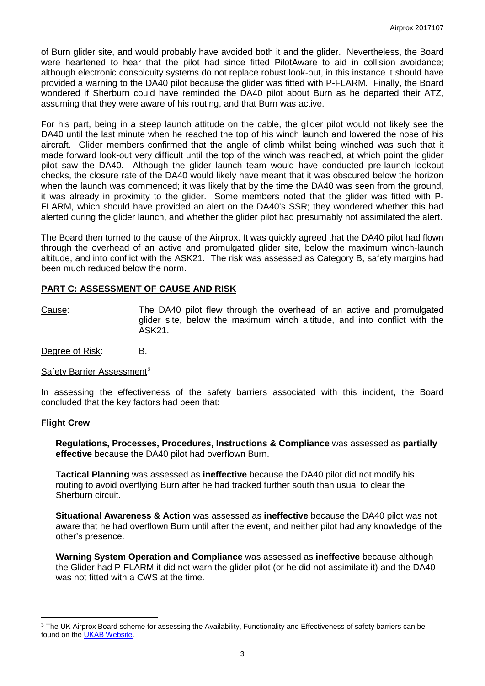of Burn glider site, and would probably have avoided both it and the glider. Nevertheless, the Board were heartened to hear that the pilot had since fitted PilotAware to aid in collision avoidance; although electronic conspicuity systems do not replace robust look-out, in this instance it should have provided a warning to the DA40 pilot because the glider was fitted with P-FLARM. Finally, the Board wondered if Sherburn could have reminded the DA40 pilot about Burn as he departed their ATZ, assuming that they were aware of his routing, and that Burn was active.

For his part, being in a steep launch attitude on the cable, the glider pilot would not likely see the DA40 until the last minute when he reached the top of his winch launch and lowered the nose of his aircraft. Glider members confirmed that the angle of climb whilst being winched was such that it made forward look-out very difficult until the top of the winch was reached, at which point the glider pilot saw the DA40. Although the glider launch team would have conducted pre-launch lookout checks, the closure rate of the DA40 would likely have meant that it was obscured below the horizon when the launch was commenced; it was likely that by the time the DA40 was seen from the ground, it was already in proximity to the glider. Some members noted that the glider was fitted with P-FLARM, which should have provided an alert on the DA40's SSR; they wondered whether this had alerted during the glider launch, and whether the glider pilot had presumably not assimilated the alert.

The Board then turned to the cause of the Airprox. It was quickly agreed that the DA40 pilot had flown through the overhead of an active and promulgated glider site, below the maximum winch-launch altitude, and into conflict with the ASK21. The risk was assessed as Category B, safety margins had been much reduced below the norm.

## **PART C: ASSESSMENT OF CAUSE AND RISK**

Cause: The DA40 pilot flew through the overhead of an active and promulgated glider site, below the maximum winch altitude, and into conflict with the ASK21.

Degree of Risk: B.

## Safety Barrier Assessment<sup>[3](#page-2-0)</sup>

In assessing the effectiveness of the safety barriers associated with this incident, the Board concluded that the key factors had been that:

## **Flight Crew**

l

**Regulations, Processes, Procedures, Instructions & Compliance** was assessed as **partially effective** because the DA40 pilot had overflown Burn.

**Tactical Planning** was assessed as **ineffective** because the DA40 pilot did not modify his routing to avoid overflying Burn after he had tracked further south than usual to clear the Sherburn circuit.

**Situational Awareness & Action** was assessed as **ineffective** because the DA40 pilot was not aware that he had overflown Burn until after the event, and neither pilot had any knowledge of the other's presence.

**Warning System Operation and Compliance** was assessed as **ineffective** because although the Glider had P-FLARM it did not warn the glider pilot (or he did not assimilate it) and the DA40 was not fitted with a CWS at the time.

<span id="page-2-0"></span><sup>&</sup>lt;sup>3</sup> The UK Airprox Board scheme for assessing the Availability, Functionality and Effectiveness of safety barriers can be found on the **UKAB Website**.